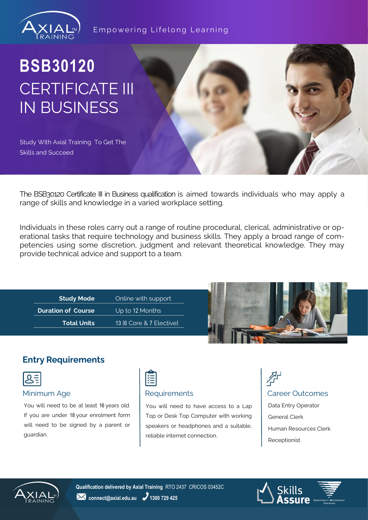

### Empowering Lifelong Learning

# **BSB30120** CERTIFICATE III IN BUSINESS

Study With Axial Training To Get The Skills and Succeed

The BSB30120 Certificate III in Business qualification is aimed towards individuals who may apply a range of skills and knowledge in a varied workplace setting.

Individuals in these roles carry out a range of routine procedural, clerical, administrative or operational tasks that require technology and business skills. They apply a broad range of competencies using some discretion, judgment and relevant theoretical knowledge. They may provide technical advice and support to a team.

**Example 3 Study Mode Study Mode Contine with support Continent (2) Duration of Course Duration Course Duration of Course Duration Course Duration Course** \_\_\_\_\_\_\_\_\_\_\_\_\_\_\_\_\_\_\_\_\_\_\_\_\_\_\_\_\_\_\_\_\_\_\_\_\_\_\_\_\_\_\_\_\_\_\_\_\_\_\_\_\_\_\_\_\_\_\_\_\_\_\_\_ 13 [6 Core & 7 Elective] **Study Mode Total Units**

Up to 12 Months



### **Entry Requirements**



You will need to be at least 16 years old. If you are under 18 your enrolment form will need to be signed by a parent or guardian.



You will need to have access to a Lap Top or Desk Top Computer with working speakers or headphones and a suitable, reliable internet connection.

# 个 Minimum Age **Requirements** Career Outcomes

Data Entry Operator General Clerk Human Resources Clerk Receptionist